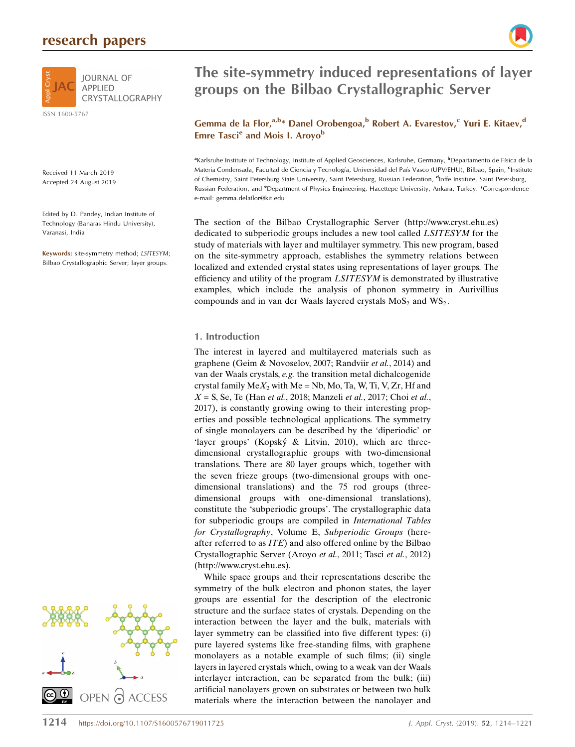# research papers



ISSN 1600-5767

Received 11 March 2019 Accepted 24 August 2019

Edited by D. Pandey, Indian Institute of Technology (Banaras Hindu University), Varanasi, India

Keywords: site-symmetry method; LSITESYM; Bilbao Crystallographic Server; layer groups.





### Gemma de la Flor,<sup>a,b\*</sup> Danel Orobengoa,<sup>b</sup> Robert A. Evarestov,<sup>c</sup> Yuri E. Kitaev,<sup>d</sup> Emre Tasci<sup>e</sup> and Mois I. Aroyo<sup>b</sup>

<sup>a</sup>Karlsruhe Institute of Technology, Institute of Applied Geosciences, Karlsruhe, Germany, <sup>b</sup>Departamento de Física de la Materia Condensada, Facultad de Ciencia y Tecnología, Universidad del País Vasco (UPV/EHU), Bilbao, Spain, <sup>c</sup>Institute of Chemistry, Saint Petersburg State University, Saint Petersburg, Russian Federation, <sup>d</sup>Ioffe Institute, Saint Petersburg, Russian Federation, and *e*Department of Physics Engineering, Hacettepe University, Ankara, Turkey. \*Correspondence e-mail: gemma.delaflor@kit.edu

The section of the Bilbao Crystallographic Server (http://www.cryst.ehu.es) dedicated to subperiodic groups includes a new tool called LSITESYM for the study of materials with layer and multilayer symmetry. This new program, based on the site-symmetry approach, establishes the symmetry relations between localized and extended crystal states using representations of layer groups. The efficiency and utility of the program LSITESYM is demonstrated by illustrative examples, which include the analysis of phonon symmetry in Aurivillius compounds and in van der Waals layered crystals  $MoS<sub>2</sub>$  and  $WS<sub>2</sub>$ .

#### 1. Introduction

The interest in layered and multilayered materials such as graphene (Geim & Novoselov, 2007; Randviir et al., 2014) and van der Waals crystals, e.g. the transition metal dichalcogenide crystal family  $MeX_2$  with Me = Nb, Mo, Ta, W, Ti, V, Zr, Hf and  $X = S$ , Se, Te (Han et al., 2018; Manzeli et al., 2017; Choi et al., 2017), is constantly growing owing to their interesting properties and possible technological applications. The symmetry of single monolayers can be described by the 'diperiodic' or 'layer groups' (Kopský & Litvin, 2010), which are threedimensional crystallographic groups with two-dimensional translations. There are 80 layer groups which, together with the seven frieze groups (two-dimensional groups with onedimensional translations) and the 75 rod groups (threedimensional groups with one-dimensional translations), constitute the 'subperiodic groups'. The crystallographic data for subperiodic groups are compiled in International Tables for Crystallography, Volume E, Subperiodic Groups (hereafter referred to as ITE) and also offered online by the Bilbao Crystallographic Server (Aroyo et al., 2011; Tasci et al., 2012) (http://www.cryst.ehu.es).

While space groups and their representations describe the symmetry of the bulk electron and phonon states, the layer groups are essential for the description of the electronic structure and the surface states of crystals. Depending on the interaction between the layer and the bulk, materials with layer symmetry can be classified into five different types: (i) pure layered systems like free-standing films, with graphene monolayers as a notable example of such films; (ii) single layers in layered crystals which, owing to a weak van der Waals interlayer interaction, can be separated from the bulk; (iii) artificial nanolayers grown on substrates or between two bulk materials where the interaction between the nanolayer and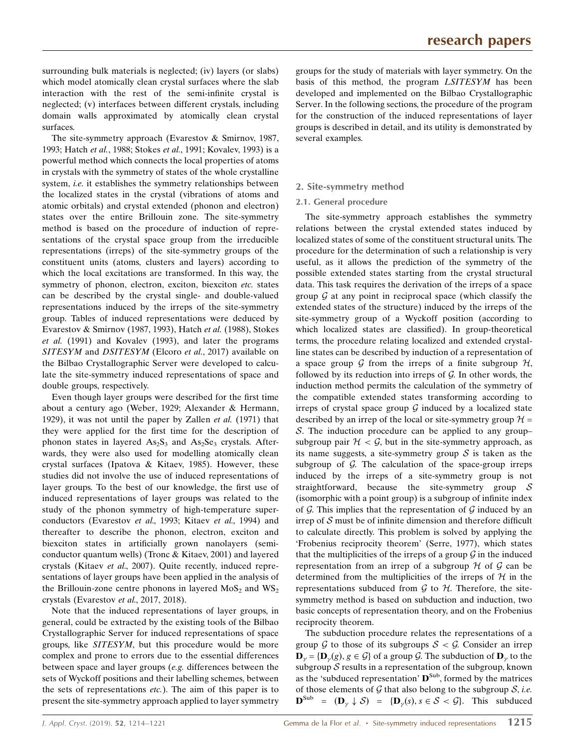surrounding bulk materials is neglected; (iv) layers (or slabs) which model atomically clean crystal surfaces where the slab interaction with the rest of the semi-infinite crystal is neglected; (v) interfaces between different crystals, including domain walls approximated by atomically clean crystal surfaces.

The site-symmetry approach (Evarestov & Smirnov, 1987, 1993; Hatch et al., 1988; Stokes et al., 1991; Kovalev, 1993) is a powerful method which connects the local properties of atoms in crystals with the symmetry of states of the whole crystalline system, *i.e.* it establishes the symmetry relationships between the localized states in the crystal (vibrations of atoms and atomic orbitals) and crystal extended (phonon and electron) states over the entire Brillouin zone. The site-symmetry method is based on the procedure of induction of representations of the crystal space group from the irreducible representations (irreps) of the site-symmetry groups of the constituent units (atoms, clusters and layers) according to which the local excitations are transformed. In this way, the symmetry of phonon, electron, exciton, biexciton etc. states can be described by the crystal single- and double-valued representations induced by the irreps of the site-symmetry group. Tables of induced representations were deduced by Evarestov & Smirnov (1987, 1993), Hatch et al. (1988), Stokes et al. (1991) and Kovalev (1993), and later the programs SITESYM and DSITESYM (Elcoro et al., 2017) available on the Bilbao Crystallographic Server were developed to calculate the site-symmetry induced representations of space and double groups, respectively.

Even though layer groups were described for the first time about a century ago (Weber, 1929; Alexander & Hermann, 1929), it was not until the paper by Zallen *et al.* (1971) that they were applied for the first time for the description of phonon states in layered  $\text{As}_2\text{S}_3$  and  $\text{As}_2\text{S}_3$  crystals. Afterwards, they were also used for modelling atomically clean crystal surfaces (Ipatova & Kitaev, 1985). However, these studies did not involve the use of induced representations of layer groups. To the best of our knowledge, the first use of induced representations of layer groups was related to the study of the phonon symmetry of high-temperature superconductors (Evarestov et al., 1993; Kitaev et al., 1994) and thereafter to describe the phonon, electron, exciton and biexciton states in artificially grown nanolayers (semiconductor quantum wells) (Tronc & Kitaev, 2001) and layered crystals (Kitaev et al., 2007). Quite recently, induced representations of layer groups have been applied in the analysis of the Brillouin-zone centre phonons in layered  $MoS<sub>2</sub>$  and  $WS<sub>2</sub>$ crystals (Evarestov et al., 2017, 2018).

Note that the induced representations of layer groups, in general, could be extracted by the existing tools of the Bilbao Crystallographic Server for induced representations of space groups, like SITESYM, but this procedure would be more complex and prone to errors due to the essential differences between space and layer groups (e.g. differences between the sets of Wyckoff positions and their labelling schemes, between the sets of representations etc.). The aim of this paper is to present the site-symmetry approach applied to layer symmetry

groups for the study of materials with layer symmetry. On the basis of this method, the program LSITESYM has been developed and implemented on the Bilbao Crystallographic Server. In the following sections, the procedure of the program for the construction of the induced representations of layer groups is described in detail, and its utility is demonstrated by several examples.

#### 2. Site-symmetry method

#### 2.1. General procedure

The site-symmetry approach establishes the symmetry relations between the crystal extended states induced by localized states of some of the constituent structural units. The procedure for the determination of such a relationship is very useful, as it allows the prediction of the symmetry of the possible extended states starting from the crystal structural data. This task requires the derivation of the irreps of a space group  $\mathcal G$  at any point in reciprocal space (which classify the extended states of the structure) induced by the irreps of the site-symmetry group of a Wyckoff position (according to which localized states are classified). In group-theoretical terms, the procedure relating localized and extended crystalline states can be described by induction of a representation of a space group  $G$  from the irreps of a finite subgroup  $H$ , followed by its reduction into irreps of  $G$ . In other words, the induction method permits the calculation of the symmetry of the compatible extended states transforming according to irreps of crystal space group  $G$  induced by a localized state described by an irrep of the local or site-symmetry group  $H =$  $S$ . The induction procedure can be applied to any groupsubgroup pair  $H < \mathcal{G}$ , but in the site-symmetry approach, as its name suggests, a site-symmetry group  $S$  is taken as the subgroup of  $G$ . The calculation of the space-group irreps induced by the irreps of a site-symmetry group is not straightforward, because the site-symmetry group  $S$ (isomorphic with a point group) is a subgroup of infinite index of  $\mathcal G$ . This implies that the representation of  $\mathcal G$  induced by an irrep of  $S$  must be of infinite dimension and therefore difficult to calculate directly. This problem is solved by applying the 'Frobenius reciprocity theorem' (Serre, 1977), which states that the multiplicities of the irreps of a group  $\mathcal G$  in the induced representation from an irrep of a subgroup  $H$  of  $G$  can be determined from the multiplicities of the irreps of  $H$  in the representations subduced from  $G$  to  $H$ . Therefore, the sitesymmetry method is based on subduction and induction, two basic concepts of representation theory, and on the Frobenius reciprocity theorem.

The subduction procedure relates the representations of a group  $G$  to those of its subgroups  $S < G$ . Consider an irrep  $\mathbf{D}_{\gamma} = {\{\mathbf{D}_{\gamma}(g), g \in \mathcal{G}}\}$  of a group  $\mathcal{G}$ . The subduction of  $\mathbf{D}_{\gamma}$  to the subgroup  $S$  results in a representation of the subgroup, known as the 'subduced representation'  $\mathbf{D}^{\text{Sub}}$ , formed by the matrices of those elements of  $G$  that also belong to the subgroup  $S$ , *i.e.*  $\mathbf{D}^{\text{Sub}} = (\mathbf{D}_{\gamma} \downarrow \mathcal{S}) = {\mathbf{D}_{\gamma}(s), s \in \mathcal{S} < \mathcal{G}}.$  This subduced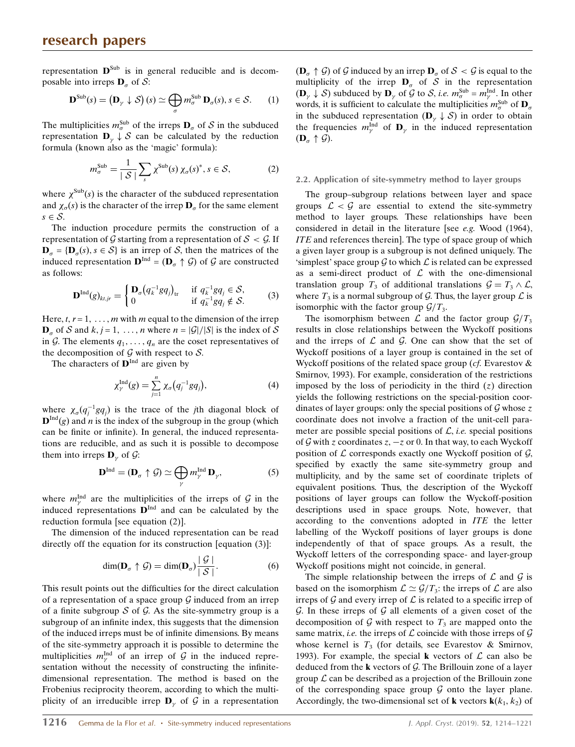representation  $\mathbf{D}^{Sub}$  is in general reducible and is decomposable into irreps  $\mathbf{D}_{\alpha}$  of  $\mathcal{S}$ :

$$
\mathbf{D}^{\text{Sub}}(s) = (\mathbf{D}_{\gamma} \downarrow \mathcal{S}) \ (s) \simeq \bigoplus_{\sigma} m_{\sigma}^{\text{Sub}} \ \mathbf{D}_{\sigma}(s), \ s \in \mathcal{S}. \tag{1}
$$

The multiplicities  $m_{\sigma}^{\text{Sub}}$  of the irreps  $\mathbf{D}_{\sigma}$  of S in the subduced representation  $\mathbf{D}_{\gamma} \downarrow \mathcal{S}$  can be calculated by the reduction formula (known also as the 'magic' formula):

$$
m_{\sigma}^{\text{Sub}} = \frac{1}{|S|} \sum_{s} \chi^{\text{Sub}}(s) \chi_{\sigma}(s)^{*}, s \in S,
$$
 (2)

where  $\chi^{\text{Sub}}(s)$  is the character of the subduced representation and  $\chi_{\sigma}(s)$  is the character of the irrep  $\mathbf{D}_{\sigma}$  for the same element  $s \in \mathcal{S}$ .

The induction procedure permits the construction of a representation of G starting from a representation of  $S < \mathcal{G}$ . If  $\mathbf{D}_{\sigma} = {\mathbf{D}_{\sigma}(s), s \in \mathcal{S}}$  is an irrep of S, then the matrices of the induced representation  $\mathbf{D}^{\text{Ind}} = (\mathbf{D}_{\alpha} \uparrow \mathcal{G})$  of  $\mathcal{G}$  are constructed as follows:

$$
\mathbf{D}^{\mathrm{Ind}}(g)_{kt,jr} = \begin{cases} \mathbf{D}_{\sigma}(q_k^{-1}gq_j)_{tr} & \text{if } q_k^{-1}gq_j \in \mathcal{S}, \\ 0 & \text{if } q_k^{-1}gq_j \notin \mathcal{S}. \end{cases}
$$
 (3)

Here,  $t, r = 1, \ldots, m$  with m equal to the dimension of the irrep  $\mathbf{D}_{\alpha}$  of S and k, j = 1, ..., n where  $n = |G|/|S|$  is the index of S in G. The elements  $q_1, \ldots, q_n$  are the coset representatives of the decomposition of  $G$  with respect to  $S$ .

The characters of  $\mathbf{D}^{\text{Ind}}$  are given by

$$
\chi_{\gamma}^{\text{Ind}}(g) = \sum_{j=1}^{n} \chi_{\sigma}(q_j^{-1} g q_j), \tag{4}
$$

where  $\chi_{\sigma}(q_j^{-1}gq_j)$  is the trace of the *j*th diagonal block of  ${\bf D}^{\text{Ind}}(g)$  and *n* is the index of the subgroup in the group (which can be finite or infinite). In general, the induced representations are reducible, and as such it is possible to decompose them into irreps  $\mathbf{D}_{\gamma}$  of  $\mathcal{G}$ :

$$
\mathbf{D}^{\text{Ind}} = (\mathbf{D}_{\sigma} \uparrow \mathcal{G}) \simeq \bigoplus_{\gamma} m_{\gamma}^{\text{Ind}} \mathbf{D}_{\gamma}, \tag{5}
$$

where  $m_{\gamma}^{\text{Ind}}$  are the multiplicities of the irreps of G in the induced representations  $\mathbf{D}^{\text{Ind}}$  and can be calculated by the reduction formula [see equation (2)].

The dimension of the induced representation can be read directly off the equation for its construction [equation (3)]:

$$
\dim(\mathbf{D}_{\sigma} \uparrow \mathcal{G}) = \dim(\mathbf{D}_{\sigma}) \frac{|\mathcal{G}|}{|\mathcal{S}|}. \tag{6}
$$

This result points out the difficulties for the direct calculation of a representation of a space group  $G$  induced from an irrep of a finite subgroup  $S$  of  $G$ . As the site-symmetry group is a subgroup of an infinite index, this suggests that the dimension of the induced irreps must be of infinite dimensions. By means of the site-symmetry approach it is possible to determine the multiplicities  $m_{\gamma}^{\text{Ind}}$  of an irrep of G in the induced representation without the necessity of constructing the infinitedimensional representation. The method is based on the Frobenius reciprocity theorem, according to which the multiplicity of an irreducible irrep  $\mathbf{D}_{\gamma}$  of  $\mathcal G$  in a representation

 $(D_{\sigma} \uparrow \mathcal{G})$  of  $\mathcal{G}$  induced by an irrep  $D_{\sigma}$  of  $\mathcal{S} < \mathcal{G}$  is equal to the multiplicity of the irrep  $D_{\sigma}$  of S in the representation  $(\mathbf{D}_{\gamma} \downarrow \mathcal{S})$  subduced by  $\mathbf{D}_{\gamma}$  of  $\mathcal{G}$  to  $\mathcal{S}$ , *i.e.*  $m_{\sigma}^{\text{Sub}} = m_{\gamma}^{\text{Ind}}$ . In other words, it is sufficient to calculate the multiplicities  $m_{\sigma}^{\text{Sub}}$  of  $\mathbf{D}_{\sigma}$ in the subduced representation  $(D_{\gamma} \downarrow S)$  in order to obtain the frequencies  $m_{\gamma}^{\text{Ind}}$  of  $\mathbf{D}_{\gamma}$  in the induced representation  $(D_{\sigma} \uparrow \mathcal{G}).$ 

#### 2.2. Application of site-symmetry method to layer groups

The group–subgroup relations between layer and space groups  $\mathcal{L} < \mathcal{G}$  are essential to extend the site-symmetry method to layer groups. These relationships have been considered in detail in the literature [see e.g. Wood (1964), ITE and references therein]. The type of space group of which a given layer group is a subgroup is not defined uniquely. The 'simplest' space group  $\mathcal G$  to which  $\mathcal L$  is related can be expressed as a semi-direct product of  $\mathcal L$  with the one-dimensional translation group  $T_3$  of additional translations  $\mathcal{G} = T_3 \wedge \mathcal{L}$ , where  $T_3$  is a normal subgroup of G. Thus, the layer group  $\mathcal L$  is isomorphic with the factor group  $\mathcal{G}/T_3$ .

The isomorphism between  $\mathcal L$  and the factor group  $\mathcal G/T_3$ results in close relationships between the Wyckoff positions and the irreps of  $\mathcal L$  and  $\mathcal G$ . One can show that the set of Wyckoff positions of a layer group is contained in the set of Wyckoff positions of the related space group ( $cf.$  Evarestov  $\&$ Smirnov, 1993). For example, consideration of the restrictions imposed by the loss of periodicity in the third  $(z)$  direction yields the following restrictions on the special-position coordinates of layer groups: only the special positions of  $G$  whose z coordinate does not involve a fraction of the unit-cell parameter are possible special positions of  $\mathcal{L}$ , *i.e.* special positions of G with z coordinates  $z, -z$  or 0. In that way, to each Wyckoff position of  $\mathcal L$  corresponds exactly one Wyckoff position of  $\mathcal G$ , specified by exactly the same site-symmetry group and multiplicity, and by the same set of coordinate triplets of equivalent positions. Thus, the description of the Wyckoff positions of layer groups can follow the Wyckoff-position descriptions used in space groups. Note, however, that according to the conventions adopted in ITE the letter labelling of the Wyckoff positions of layer groups is done independently of that of space groups. As a result, the Wyckoff letters of the corresponding space- and layer-group Wyckoff positions might not coincide, in general.

The simple relationship between the irreps of  $\mathcal L$  and  $\mathcal G$  is based on the isomorphism  $\mathcal{L} \simeq \mathcal{G}/T_3$ : the irreps of  $\mathcal L$  are also irreps of  $\mathcal G$  and every irrep of  $\mathcal L$  is related to a specific irrep of  $G$ . In these irreps of  $G$  all elements of a given coset of the decomposition of G with respect to  $T_3$  are mapped onto the same matrix, *i.e.* the irreps of  $\mathcal L$  coincide with those irreps of  $\mathcal G$ whose kernel is  $T_3$  (for details, see Evarestov & Smirnov, 1993). For example, the special **k** vectors of  $\mathcal{L}$  can also be deduced from the  $k$  vectors of  $G$ . The Brillouin zone of a layer group  $\mathcal L$  can be described as a projection of the Brillouin zone of the corresponding space group  $G$  onto the layer plane. Accordingly, the two-dimensional set of **k** vectors  $\mathbf{k}(k_1, k_2)$  of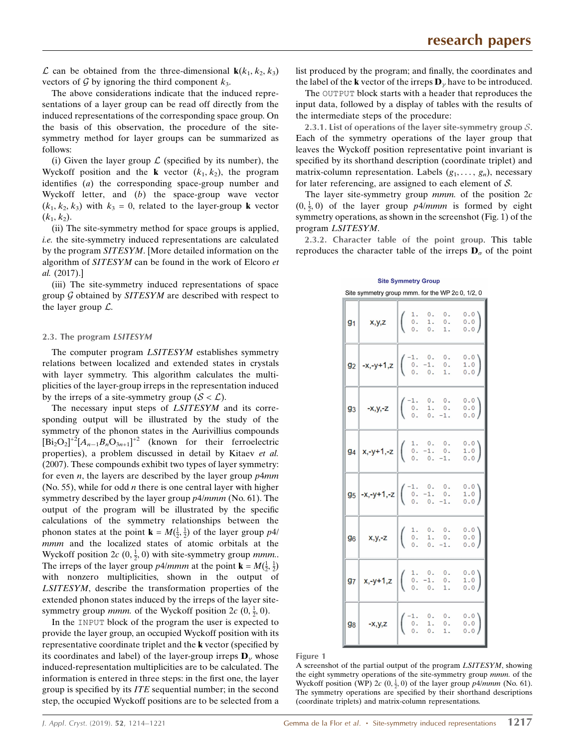$\mathcal L$  can be obtained from the three-dimensional  $\mathbf k(k_1, k_2, k_3)$ vectors of  $\mathcal G$  by ignoring the third component  $k_3$ .

The above considerations indicate that the induced representations of a layer group can be read off directly from the induced representations of the corresponding space group. On the basis of this observation, the procedure of the sitesymmetry method for layer groups can be summarized as follows:

(i) Given the layer group  $\mathcal L$  (specified by its number), the Wyckoff position and the **k** vector  $(k_1, k_2)$ , the program identifies (a) the corresponding space-group number and Wyckoff letter, and (b) the space-group wave vector  $(k_1, k_2, k_3)$  with  $k_3 = 0$ , related to the layer-group **k** vector  $(k_1, k_2)$ .

(ii) The site-symmetry method for space groups is applied, i.e. the site-symmetry induced representations are calculated by the program SITESYM. [More detailed information on the algorithm of SITESYM can be found in the work of Elcoro et al. (2017).]

(iii) The site-symmetry induced representations of space group  $G$  obtained by  $SITERYM$  are described with respect to the layer group  $\mathcal{L}$ .

#### 2.3. The program LSITESYM

The computer program *LSITESYM* establishes symmetry relations between localized and extended states in crystals with layer symmetry. This algorithm calculates the multiplicities of the layer-group irreps in the representation induced by the irreps of a site-symmetry group  $(S < \mathcal{L})$ .

The necessary input steps of *LSITESYM* and its corresponding output will be illustrated by the study of the symmetry of the phonon states in the Aurivillius compounds  $[\text{Bi}_2\text{O}_2]^{\dagger2} [A_{n-1}B_n\text{O}_{3n+1}]^{\dagger2}$  (known for their ferroelectric properties), a problem discussed in detail by Kitaev et al. (2007). These compounds exhibit two types of layer symmetry: for even  $n$ , the layers are described by the layer group  $p4mm$ (No. 55), while for odd  $n$  there is one central layer with higher symmetry described by the layer group  $p4/mmm$  (No. 61). The output of the program will be illustrated by the specific calculations of the symmetry relationships between the phonon states at the point  $\mathbf{k} = M(\frac{1}{2}, \frac{1}{2})$  of the layer group  $p4/2$ mmm and the localized states of atomic orbitals at the Wyckoff position  $2c$  (0,  $\frac{1}{2}$ , 0) with site-symmetry group *mmm*... The irreps of the layer group  $p_1/2/mmm$  at the point  $\mathbf{k} = M(\frac{1}{2}, \frac{1}{2})$ with nonzero multiplicities, shown in the output of LSITESYM, describe the transformation properties of the extended phonon states induced by the irreps of the layer sitesymmetry group *mmm*. of the Wyckoff position  $2c(0, \frac{1}{2}, 0)$ .

In the INPUT block of the program the user is expected to provide the layer group, an occupied Wyckoff position with its representative coordinate triplet and the k vector (specified by its coordinates and label) of the layer-group irreps  $\mathbf{D}_{\gamma}$  whose induced-representation multiplicities are to be calculated. The information is entered in three steps: in the first one, the layer group is specified by its ITE sequential number; in the second step, the occupied Wyckoff positions are to be selected from a list produced by the program; and finally, the coordinates and the label of the **k** vector of the irreps  $\mathbf{D}_{\gamma}$  have to be introduced.

The OUTPUT block starts with a header that reproduces the input data, followed by a display of tables with the results of the intermediate steps of the procedure:

2.3.1. List of operations of the layer site-symmetry group  $S$ . Each of the symmetry operations of the layer group that leaves the Wyckoff position representative point invariant is specified by its shorthand description (coordinate triplet) and matrix-column representation. Labels  $(g_1, \ldots, g_n)$ , necessary for later referencing, are assigned to each element of  $S$ .

The layer site-symmetry group  $mmm$ . of the position  $2c$  $(0, \frac{1}{2}, 0)$  of the layer group p4/mmm is formed by eight symmetry operations, as shown in the screenshot (Fig. 1) of the program LSITESYM.

2.3.2. Character table of the point group. This table reproduces the character table of the irreps  $\mathbf{D}_{\sigma}$  of the point

| Site symmetry group mmm. for the VVP 2c 0, 1/2, 0                                                                                                                                                                                                                                                                                                                                                                                        |  |  |  |                |                                                                              |  |  |
|------------------------------------------------------------------------------------------------------------------------------------------------------------------------------------------------------------------------------------------------------------------------------------------------------------------------------------------------------------------------------------------------------------------------------------------|--|--|--|----------------|------------------------------------------------------------------------------|--|--|
| $91$ x,y,z $\begin{pmatrix} 1. & 0. & 0. \\ 0. & 1. & 0. \\ 0. & 0. & 1. \end{pmatrix}$                                                                                                                                                                                                                                                                                                                                                  |  |  |  | 1.             | $\left( \begin{array}{c} 0.0 \\ 0.0 \\ 0 \end{array} \right)$<br>0.0)        |  |  |
| $g_2$ -x,-y+1,z $\begin{pmatrix} -1 & 0 \\ 0 & -1 \\ 0 & 0 \end{pmatrix}$                                                                                                                                                                                                                                                                                                                                                                |  |  |  | 0.<br>0.<br>1. | $\left(\begin{smallmatrix} 0 & 0 \\ 1 & 0 \\ 0 & 0 \end{smallmatrix}\right)$ |  |  |
| $\mathsf{g}_3$ -x,y,-z $\begin{bmatrix} -1. & 0. & 0. \\ 0. & 1. & 0. \\ 0. & 0. & -1. \end{bmatrix}$                                                                                                                                                                                                                                                                                                                                    |  |  |  |                | $\left( \begin{array}{c} 0.0 \\ 0.0 \\ 0 \end{array} \right)$<br>0.0)        |  |  |
| $94 \begin{array}{ l } x, -y+1, -z \end{array}$ $\begin{array}{ l } \begin{array}{ l } 1. & 0. & 0. \\ 0. & -1. & 0. \\ 0. & 0. & -1. \end{array}$                                                                                                                                                                                                                                                                                       |  |  |  |                | $\left(\begin{smallmatrix} 0 & 0 \\ 1 & 0 \\ 0 & 0 \end{smallmatrix}\right)$ |  |  |
| $95$ -x,-y+1,-z $\begin{bmatrix} -1. & 0. & 0. \\ 0. & -1. & 0. \\ 0. & 0. & -1. \end{bmatrix}$                                                                                                                                                                                                                                                                                                                                          |  |  |  |                | 0.0<br>0.0)                                                                  |  |  |
| $96 \begin{array}{ l } \n\text{X,Y,-Z} & \n\begin{array}{ l } \n\end{array} & \n\begin{array}{ l } \n\begin{array}{ l } \n\end{array} & \n\begin{array}{ l } \n\end{array} & \n\begin{array}{ l } \n\end{array} & \n\begin{array}{ l } \n\end{array} & \n\begin{array}{ l } \n\end{array} & \n\begin{array}{ l } \n\end{array} & \n\begin{array}{ l } \n\end{array} & \n\begin{array}{ l } \n\end{array} & \n\begin{array}{ l } \n\end{$ |  |  |  |                | $\begin{pmatrix} 0.0 \\ 0.0 \end{pmatrix}$<br>0.0)                           |  |  |
| $\mathsf{g7}$ x,-y+1,z $\left  \left( \begin{array}{ccc} 1. & 0. & 0. \\ 0. & -1. & 0. \\ 0. & 0. & 1. \end{array} \right) \right $                                                                                                                                                                                                                                                                                                      |  |  |  |                | $\left(\begin{smallmatrix} 0 & 0 \\ 1 & 0 \\ 0 & 0 \end{smallmatrix}\right)$ |  |  |
| $\mathsf{g}_8$ -x,y,z $\begin{pmatrix} -1 & 0 \\ 0 & 1 \\ 0 & 0 \end{pmatrix}$                                                                                                                                                                                                                                                                                                                                                           |  |  |  | 0.<br>0.<br>1. | $\begin{pmatrix} 0.0 \\ 0.0 \\ 0.0 \end{pmatrix}$                            |  |  |

**Site Symmetry Group** 

Figure 1

A screenshot of the partial output of the program LSITESYM, showing the eight symmetry operations of the site-symmetry group mmm. of the Wyckoff position (WP)  $2c$  (0,  $\frac{1}{2}$ , 0) of the layer group p4/mmm (No. 61). The symmetry operations are specified by their shorthand descriptions (coordinate triplets) and matrix-column representations.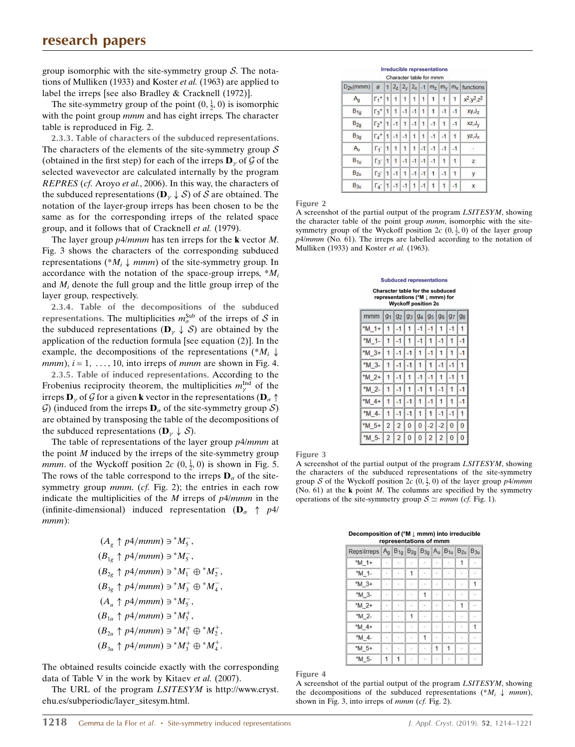group isomorphic with the site-symmetry group  $S$ . The notations of Mulliken (1933) and Koster et al. (1963) are applied to label the irreps [see also Bradley & Cracknell (1972)].

The site-symmetry group of the point  $(0, \frac{1}{2}, 0)$  is isomorphic with the point group *mmm* and has eight irreps. The character table is reproduced in Fig. 2.

2.3.3. Table of characters of the subduced representations. The characters of the elements of the site-symmetry group  $S$ (obtained in the first step) for each of the irreps  $\mathbf{D}_{\gamma}$  of  $\mathcal G$  of the selected wavevector are calculated internally by the program REPRES (cf. Aroyo et al., 2006). In this way, the characters of the subduced representations ( $\mathbf{D}_{\gamma} \downarrow \mathcal{S}$ ) of  $\mathcal{S}$  are obtained. The notation of the layer-group irreps has been chosen to be the same as for the corresponding irreps of the related space group, and it follows that of Cracknell et al. (1979).

The layer group  $p4/mmm$  has ten irreps for the **k** vector  $M$ . Fig. 3 shows the characters of the corresponding subduced representations (\* $M_i \downarrow mmm$ ) of the site-symmetry group. In accordance with the notation of the space-group irreps,  $^*M_i$ and  $M_i$  denote the full group and the little group irrep of the layer group, respectively.

2.3.4. Table of the decompositions of the subduced representations. The multiplicities  $m_{\sigma}^{\text{Sub}}$  of the irreps of S in the subduced representations  $(D_{\gamma} \downarrow S)$  are obtained by the application of the reduction formula [see equation (2)]. In the example, the decompositions of the representations (\* $M_i \downarrow$ *mmm*),  $i = 1, \ldots, 10$ , into irreps of *mmm* are shown in Fig. 4.

2.3.5. Table of induced representations. According to the Frobenius reciprocity theorem, the multiplicities  $m_{\gamma}^{\text{Ind}}$  of the irreps  $\mathbf{D}_{\gamma}$  of  ${\mathcal G}$  for a given  $\mathbf k$  vector in the representations ( $\mathbf{D}_{\sigma} \uparrow$ G) (induced from the irreps  $\mathbf{D}_{\sigma}$  of the site-symmetry group S) are obtained by transposing the table of the decompositions of the subduced representations ( $\mathbf{D}_{\gamma} \downarrow \mathcal{S}$ ).

The table of representations of the layer group  $p^2$ *lmmm* at the point  $M$  induced by the irreps of the site-symmetry group *mmm*. of the Wyckoff position  $2c$   $(0, \frac{1}{2}, 0)$  is shown in Fig. 5. The rows of the table correspond to the irreps  $\mathbf{D}_{\sigma}$  of the sitesymmetry group *mmm.* (cf. Fig. 2); the entries in each row indicate the multiplicities of the  $M$  irreps of  $p4/mmm$  in the (infinite-dimensional) induced representation ( $\mathbf{D}_{\sigma} \uparrow p4$ /  $mm$  $):$ 

$$
(A_g \uparrow p4/mmm) \ni^* M_5^-,
$$
  
\n
$$
(B_{1g} \uparrow p4/mmm) \ni^* M_5^-,
$$
  
\n
$$
(B_{2g} \uparrow p4/mmm) \ni^* M_1^- \oplus^* M_2^-,
$$
  
\n
$$
(B_{3g} \uparrow p4/mmm) \ni^* M_3^- \oplus^* M_4^-,
$$
  
\n
$$
(A_u \uparrow p4/mmm) \ni^* M_5^-,
$$
  
\n
$$
(B_{1u} \uparrow p4/mmm) \ni^* M_5^+,
$$
  
\n
$$
(B_{2u} \uparrow p4/mmm) \ni^* M_1^+ \oplus^* M_2^+,
$$
  
\n
$$
(B_{3u} \uparrow p4/mmm) \ni^* M_1^+ \oplus^* M_2^+,
$$

The obtained results coincide exactly with the corresponding data of Table V in the work by Kitaev et al. (2007).

The URL of the program LSITESYM is http://www.cryst. ehu.es/subperiodic/layer\_sitesym.html.

**Irreducible representations** Character table for m

|               |                         |   |      |      |      |              | члагача ганс югтшин |      |      |                                                                                                 |
|---------------|-------------------------|---|------|------|------|--------------|---------------------|------|------|-------------------------------------------------------------------------------------------------|
| $D_{2h}(mmm)$ | #                       |   |      |      |      |              |                     |      |      | $1\left 2_{z}\right 2_{y}\left 2_{x}\right $ -1 $\left 2_{z}\right m_{y}\right m_{x}$ functions |
| $A_q$         | $\Gamma_1$ <sup>+</sup> | 1 | 1    | 1    | 1    | 1            | 1                   | 1    |      | $x^2, y^2, z^2$                                                                                 |
| $B_{1g}$      | $\Gamma_3$ <sup>+</sup> |   | 1    | $-1$ | $-1$ | 1            | 1                   | $-1$ | $-1$ | xy, J <sub>z</sub>                                                                              |
| $B_{2g}$      | $\Gamma_2$ <sup>+</sup> | 1 | $-1$ | 1    | $-1$ | $\mathbf{1}$ | $-1$                | 1    | $-1$ | $XZ, J_V$                                                                                       |
| $B_{3g}$      | $\Gamma_4$ <sup>+</sup> |   | $-1$ | $-1$ | 1    | 1            | $-1$                | $-1$ | 1    | $yz, J_x$                                                                                       |
| $A_{u}$       | $\Gamma_1$              | 1 | 1    | 1    | 1    | $-1$         | $-1$                | $-1$ |      |                                                                                                 |
| $B_{1u}$      | $\Gamma_3$              |   | 1    | $-1$ | $-1$ | $-1$         | $-1$                |      |      | z                                                                                               |
| $B_{2u}$      | $\Gamma_2$ <sup>-</sup> | 1 | $-1$ | 1    | $-1$ | $-1$         | 1                   | $-1$ |      | ٧                                                                                               |
| $B_{3u}$      | $\Gamma_4$ -            |   | $-1$ | $-1$ | 1    | $-1$         |                     |      | $-1$ | X                                                                                               |

Figure 2

A screenshot of the partial output of the program LSITESYM, showing the character table of the point group *mmm*, isomorphic with the sitesymmetry group of the Wyckoff position  $2c$   $(0, \frac{1}{2}, 0)$  of the layer group p4/mmm (No. 61). The irreps are labelled according to the notation of Mulliken (1933) and Koster et al. (1963).

|          | <b>Subduced representations</b>                                                                                    |                |      |      |                |      |   |                                  |  |
|----------|--------------------------------------------------------------------------------------------------------------------|----------------|------|------|----------------|------|---|----------------------------------|--|
|          | <b>Character table for the subduced</b><br>representations (*M $\downarrow$ mmm) for<br><b>Wyckoff position 2c</b> |                |      |      |                |      |   |                                  |  |
| mmm      |                                                                                                                    |                |      |      |                |      |   | 92   93   94   95   96   97   98 |  |
| $*M$ 1+  |                                                                                                                    |                | 1    | $-1$ |                |      |   |                                  |  |
| *M 1-    |                                                                                                                    |                |      |      |                |      |   |                                  |  |
| $^*M$ 3+ |                                                                                                                    |                |      |      |                |      |   |                                  |  |
| *M 3-    |                                                                                                                    | -1             | $-1$ |      |                | $-1$ |   |                                  |  |
| *M 2+    |                                                                                                                    |                |      |      |                |      |   |                                  |  |
| *M 2-    |                                                                                                                    |                | 1    |      |                |      |   |                                  |  |
| $*M$ 4+  |                                                                                                                    |                |      |      |                |      |   |                                  |  |
| $*M_4$   |                                                                                                                    |                |      |      |                |      |   |                                  |  |
| $*M$ 5+  | $\overline{2}$                                                                                                     | $\overline{2}$ | 0    | 0    | -2             | -2   | 0 |                                  |  |
| *M 5-    | $\overline{2}$                                                                                                     | 2              | 0    |      | $\overline{2}$ | 2    |   |                                  |  |

Figure 3

A screenshot of the partial output of the program LSITESYM, showing the characters of the subduced representations of the site-symmetry group S of the Wyckoff position 2c  $(0, \frac{1}{2}, 0)$  of the layer group p4/mmm (No. 61) at the  $\bf{k}$  point M. The columns are specified by the symmetry operations of the site-symmetry group  $S \simeq mmm$  (cf. Fig. 1).

Decomposition of (\*M  $\downarrow$  mmm) into irreducible

| representations of mmm                                    |    |    |                          |                      |         |    |                          |               |
|-----------------------------------------------------------|----|----|--------------------------|----------------------|---------|----|--------------------------|---------------|
| Reps\Irreps $ A_g B_{1g} B_{2g} B_{3g} A_u B_{1u} B_{2u}$ |    |    |                          |                      |         |    |                          | $B_{3u}$      |
| *M 1+                                                     | t. | t. | f.                       |                      | ۰.      | ۰. | 1                        | $\mathcal{C}$ |
| *M 1-                                                     | a) | à. | 1                        | $\,$ .               | $\cdot$ | c. | $\ddot{\phantom{a}}$     | $\sim$        |
| $*M$ 3+                                                   | ٠. | ۰  | $\cdot$                  | $\sim$               | $\cdot$ | ÷  | ×                        | 1             |
| *M 3-                                                     | J. | ŗ. | ı.                       | 1                    | ı,      | ×  | l,                       |               |
| $*M$ 2+                                                   | ÷. | a. | r.                       | $\ddot{\phantom{a}}$ | ä,      | c. | 1                        | $\sim$        |
| *M 2-                                                     | ٠  | ۰. | 1                        | $\sim$               | $\cdot$ | ÷  |                          | $\sim$        |
| $*M$ 4+                                                   | b. | ×  | i.                       | $\ddot{\phantom{a}}$ | $\sim$  | ×  | $\overline{\phantom{a}}$ |               |
| *M 4-                                                     | ÷. | ÷. | $\overline{\phantom{a}}$ | 1                    | $\cdot$ | è. | $\cdot$                  | $\sim$        |
| *M 5+                                                     | ÷. | ÷  | f.                       | ÷                    | 1       |    | $\ddot{\phantom{a}}$     | $\sim$        |
| *M 5-                                                     | 1  |    |                          |                      |         | z. |                          | $\sim$        |

Figure 4

A screenshot of the partial output of the program LSITESYM, showing the decompositions of the subduced representations (\* $M_i \downarrow mmm$ ), shown in Fig. 3, into irreps of mmm (cf. Fig. 2).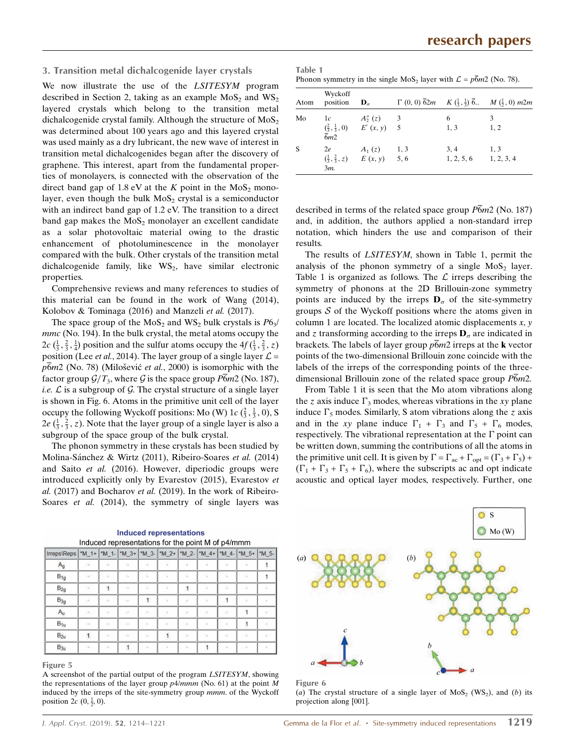#### 3. Transition metal dichalcogenide layer crystals

We now illustrate the use of the LSITESYM program described in Section 2, taking as an example  $MoS<sub>2</sub>$  and  $WS<sub>2</sub>$ layered crystals which belong to the transition metal dichalcogenide crystal family. Although the structure of  $MoS<sub>2</sub>$ was determined about 100 years ago and this layered crystal was used mainly as a dry lubricant, the new wave of interest in transition metal dichalcogenides began after the discovery of graphene. This interest, apart from the fundamental properties of monolayers, is connected with the observation of the direct band gap of 1.8 eV at the K point in the  $MoS<sub>2</sub>$  monolayer, even though the bulk  $MoS<sub>2</sub>$  crystal is a semiconductor with an indirect band gap of 1.2 eV. The transition to a direct band gap makes the  $MoS<sub>2</sub>$  monolayer an excellent candidate as a solar photovoltaic material owing to the drastic enhancement of photoluminescence in the monolayer compared with the bulk. Other crystals of the transition metal dichalcogenide family, like  $WS_2$ , have similar electronic properties.

Comprehensive reviews and many references to studies of this material can be found in the work of Wang (2014), Kolobov & Tominaga (2016) and Manzeli et al. (2017).

The space group of the  $MoS<sub>2</sub>$  and  $WS<sub>2</sub>$  bulk crystals is  $P6<sub>3</sub>/$ mmc (No. 194). In the bulk crystal, the metal atoms occupy the  $2c\left(\frac{1}{3}, \frac{2}{3}, \frac{1}{4}\right)$  position and the sulfur atoms occupy the  $4f\left(\frac{1}{3}, \frac{2}{3}, z\right)$ position (Lee *et al.*, 2014). The layer group of a single layer  $\mathcal{L} =$  $p6m2$  (No. 78) (Milošević et al., 2000) is isomorphic with the factor group  $\mathcal{G}/T_3$ , where  $\mathcal G$  is the space group P6m2 (No. 187), *i.e.*  $\mathcal L$  is a subgroup of  $\mathcal G$ . The crystal structure of a single layer is shown in Fig. 6. Atoms in the primitive unit cell of the layer occupy the following Wyckoff positions: Mo (W) 1 $c \left(\frac{2}{3}, \frac{1}{3}, 0\right)$ , S  $2e\left(\frac{1}{3}, \frac{2}{3}, z\right)$ . Note that the layer group of a single layer is also a subgroup of the space group of the bulk crystal.

The phonon symmetry in these crystals has been studied by Molina-Sánchez & Wirtz (2011), Ribeiro-Soares et al. (2014) and Saito et al. (2016). However, diperiodic groups were introduced explicitly only by Evarestov (2015), Evarestov et al. (2017) and Bocharov et al. (2019). In the work of Ribeiro-Soares et al. (2014), the symmetry of single layers was

| Irreps\Reps   *M_1+   *M_1-   *M_3+   *M_3- |               |              |                |                          |              |                         |                          |                          | $ M_2+ M_2- M_4+ M_4+ M_5+ M_5-$ |                          |
|---------------------------------------------|---------------|--------------|----------------|--------------------------|--------------|-------------------------|--------------------------|--------------------------|----------------------------------|--------------------------|
| $A_g$                                       | $\sim$        | ÷,           | $\mathbb{R}^n$ | $\overline{\phantom{a}}$ | n,           | $\overline{\mathbb{Z}}$ | ×                        | ×                        | $\overline{\phantom{a}}$         |                          |
| $B_{1g}$                                    | $\sim$        | $\sim$       |                | ×                        | ı.           | 16                      | i.                       | i.                       | ÷                                |                          |
| $B_{2g}$                                    | $\mathcal{L}$ | $\mathbf{1}$ |                |                          | ÷,           | 1                       | ×                        |                          |                                  |                          |
| $B_{3g}$                                    | otto          | F.           | ×              | $\mathbf{1}$             | F.           | n                       | n                        |                          | ×.                               | ÷                        |
| $A_{u}$                                     | $\sim$        | $\sim$       | <b>COL</b>     | ×                        | ×            | $\sim$                  | ×                        | ×.                       |                                  | ×.                       |
| $B_{1u}$                                    | $\sim$        | $\sim$       | $\lambda$      | $\overline{\phantom{a}}$ | ×            | $\sim$                  | $\overline{\phantom{a}}$ | $\overline{\phantom{a}}$ |                                  | $\overline{\phantom{a}}$ |
| $B_{2u}$                                    | $\mathbf{1}$  | $\sim$       | ×.             | ÷.                       | $\mathbf{1}$ | $\sim$                  | $\overline{\phantom{a}}$ | $\overline{\phantom{a}}$ | $\overline{\phantom{a}}$         | $\sim$                   |
| $B_{3u}$                                    | $\sim$        | $\sim$       |                | u,                       | ÷.           | $\overline{\mathbb{Z}}$ |                          | $\sim$                   | ÷.                               | $\overline{\phantom{a}}$ |

**Induced representations** Induced representations for the point M of p*A/mmm* 

#### Figure 5

A screenshot of the partial output of the program LSITESYM, showing the representations of the layer group  $p/4/mmm$  (No. 61) at the point M induced by the irreps of the site-symmetry group mmm. of the Wyckoff position 2 $c$  (0,  $\frac{1}{2}$ , 0).

| Table 1                                                                        |  |
|--------------------------------------------------------------------------------|--|
| Phonon symmetry in the single $MoS2$ layer with $\mathcal{L} = p6m2$ (No. 78). |  |

| Atom     | Wyckoff<br>position               | $\mathbf{D}_{\alpha}$                                          |      |                    | $\Gamma$ (0, 0) $\overline{6}2m$ $K$ $(\frac{1}{3}, \frac{1}{3})$ $\overline{6}$ . $M$ $(\frac{1}{2}, 0)$ m2m |
|----------|-----------------------------------|----------------------------------------------------------------|------|--------------------|---------------------------------------------------------------------------------------------------------------|
| Mo       | 1c<br>$\overline{6}m\overline{2}$ | $A''_2(z) = 3$<br>$(\frac{2}{3}, \frac{1}{3}, 0)$ $E'(x, y)$ 5 |      | 6<br>1, 3          | 3<br>1, 2                                                                                                     |
| <b>S</b> | 2e<br>$3m$ .                      | $A_1(z)$<br>$(\frac{1}{3}, \frac{2}{3}, z)$ $E(x, y)$ 5, 6     | 1, 3 | 3, 4<br>1, 2, 5, 6 | 1, 3<br>1, 2, 3, 4                                                                                            |

described in terms of the related space group  $\overline{P6}m2$  (No. 187) and, in addition, the authors applied a non-standard irrep notation, which hinders the use and comparison of their results.

The results of LSITESYM, shown in Table 1, permit the analysis of the phonon symmetry of a single  $MoS<sub>2</sub>$  layer. Table 1 is organized as follows. The  $\mathcal L$  irreps describing the symmetry of phonons at the 2D Brillouin-zone symmetry points are induced by the irreps  $\mathbf{D}_{\sigma}$  of the site-symmetry groups  $S$  of the Wyckoff positions where the atoms given in column 1 are located. The localized atomic displacements  $x$ ,  $y$ and z transforming according to the irreps  $\mathbf{D}_{\sigma}$  are indicated in brackets. The labels of layer group  $\bar{p}$  fom2 irreps at the **k** vector points of the two-dimensional Brillouin zone coincide with the labels of the irreps of the corresponding points of the threedimensional Brillouin zone of the related space group  $\overline{P6}m2$ .

From Table 1 it is seen that the Mo atom vibrations along the z axis induce  $\Gamma_3$  modes, whereas vibrations in the xy plane induce  $\Gamma_5$  modes. Similarly, S atom vibrations along the z axis and in the xy plane induce  $\Gamma_1 + \Gamma_3$  and  $\Gamma_5 + \Gamma_6$  modes, respectively. The vibrational representation at the  $\Gamma$  point can be written down, summing the contributions of all the atoms in the primitive unit cell. It is given by  $\Gamma = \Gamma_{ac} + \Gamma_{opt} = (\Gamma_3 + \Gamma_5) +$  $(\Gamma_1 + \Gamma_3 + \Gamma_5 + \Gamma_6)$ , where the subscripts ac and opt indicate acoustic and optical layer modes, respectively. Further, one





(a) The crystal structure of a single layer of MoS<sub>2</sub> (WS<sub>2</sub>), and (b) its projection along [001].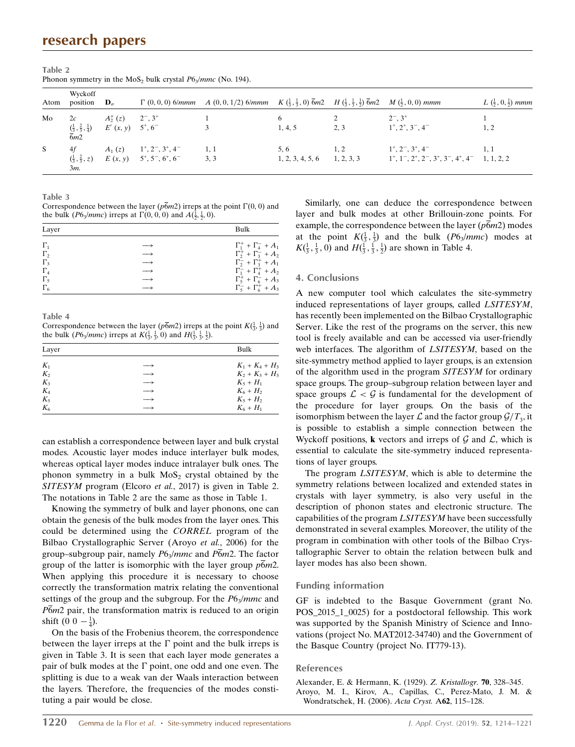## research papers

| Atom         | Wyckoff<br>position                                         | $\mathbf{D}_{\sigma}$  |                                                                                                        | $\Gamma$ (0, 0, 0) 6/mmm $A$ (0, 0, 1/2) 6/mmm $K$ ( $\frac{1}{3}$ , $\frac{1}{3}$ , 0) $\overline{6}$ m2 $H$ ( $\frac{1}{3}$ , $\frac{1}{3}$ , $\frac{1}{2}$ ) $\overline{6}$ m2 $M$ ( $\frac{1}{5}$ , 0, 0) mmm |                          |                   |                                                                                                                                                     | $L\left(\frac{1}{2},0,\frac{1}{2}\right)$ mmm |
|--------------|-------------------------------------------------------------|------------------------|--------------------------------------------------------------------------------------------------------|-------------------------------------------------------------------------------------------------------------------------------------------------------------------------------------------------------------------|--------------------------|-------------------|-----------------------------------------------------------------------------------------------------------------------------------------------------|-----------------------------------------------|
| Mo           | 2c<br>$\frac{(\frac{1}{3}, \frac{2}{3}, \frac{1}{4})}{6m2}$ | $A_2''(z)$<br>E'(x, y) | $2^{-}$ , $3^{+}$<br>$5^{\circ}, 6^-$                                                                  |                                                                                                                                                                                                                   | 6<br>1, 4, 5             | 2, 3              | $2^{-}$ , $3^{+}$<br>$1^{\circ}, 2^{\circ}, 3^{\circ}, 4^{\circ}$                                                                                   | 1, 2                                          |
| <sub>S</sub> | 4f<br>$(\frac{1}{3}, \frac{2}{3}, z)$<br>$3m$ .             | $A_1(z)$               | $1^{\circ}, 2^{\circ}, 3^{\circ}, 4^{\circ}$<br>$E(x, y) = 5^{\circ}, 5^{\circ}, 6^{\circ}, 6^{\circ}$ | 1, 1<br>3, 3                                                                                                                                                                                                      | 5, 6<br>1, 2, 3, 4, 5, 6 | 1.2<br>1, 2, 3, 3 | $1^{\circ}, 2^{\circ}, 3^{\circ}, 4^{\circ}$<br>$1^{\circ}, 1^{\circ}, 2^{\circ}, 2^{\circ}, 3^{\circ}, 3^{\circ}, 4^{\circ}, 4^{\circ}$ 1, 1, 2, 2 | 1.1                                           |

Table 2 Phonon symmetry in the MoS<sub>2</sub> bulk crystal  $P6_3/mmc$  (No. 194).

Table 3

Correspondence between the layer ( $p6m2$ ) irreps at the point  $\Gamma(0, 0)$  and the bulk (*P*6<sub>3</sub>/*mmc*) irreps at  $\Gamma(0, 0, 0)$  and  $A(\frac{1}{2}, \frac{1}{2}, 0)$ .

| Layer                                                                    |                                                                                  | Bulk                                                                                                                                                                                            |
|--------------------------------------------------------------------------|----------------------------------------------------------------------------------|-------------------------------------------------------------------------------------------------------------------------------------------------------------------------------------------------|
| $\Gamma_1$<br>$\Gamma_{2}$<br>$\Gamma_{3}$<br>$\Gamma_4$<br>$\Gamma_{5}$ | $\longrightarrow$<br>$\longrightarrow$<br>$\longrightarrow$<br>$\longrightarrow$ | $\Gamma_1^+$ + $\Gamma_4^-$ + $A_1$<br>$\Gamma_2^+$ + $\Gamma_3^-$ + $A_2$<br>$\Gamma_2^-$ + $\Gamma_3^+$ + $A_1$<br>$\Gamma_1^-$ + $\Gamma_4^+$ + $A_2$<br>$\Gamma_5^+$ + $\Gamma_6^-$ + $A_3$ |
| $\Gamma_6$                                                               |                                                                                  | $\Gamma_5^-$ + $\Gamma_6^+$ + $A_3$                                                                                                                                                             |

Table 4

Correspondence between the layer ( $p\overline{6}m2$ ) irreps at the point  $K(\frac{1}{3}, \frac{1}{3})$  and the bulk (*P*6<sub>3</sub>/*mmc*) irreps at  $K(\frac{1}{3}, \frac{1}{3}, 0)$  and  $H(\frac{1}{3}, \frac{1}{3}, \frac{1}{2})$ .

| Layer |                   | Bulk              |
|-------|-------------------|-------------------|
| $K_1$ |                   | $K_1 + K_4 + H_3$ |
| $K_2$ |                   | $K_2 + K_3 + H_3$ |
| $K_3$ |                   | $K_5 + H_1$       |
| $K_4$ | $\longrightarrow$ | $K_6 + H_2$       |
| $K_5$ | $\longrightarrow$ | $K_5 + H_2$       |
| $K_6$ |                   | $K_6 + H_1$       |

can establish a correspondence between layer and bulk crystal modes. Acoustic layer modes induce interlayer bulk modes, whereas optical layer modes induce intralayer bulk ones. The phonon symmetry in a bulk  $MoS<sub>2</sub>$  crystal obtained by the SITESYM program (Elcoro et al., 2017) is given in Table 2. The notations in Table 2 are the same as those in Table 1.

Knowing the symmetry of bulk and layer phonons, one can obtain the genesis of the bulk modes from the layer ones. This could be determined using the CORREL program of the Bilbao Crystallographic Server (Aroyo et al., 2006) for the group–subgroup pair, namely  $P6_3/mmc$  and  $P\overline{6}m2$ . The factor group of the latter is isomorphic with the layer group  $p\overline{6}m2$ . When applying this procedure it is necessary to choose correctly the transformation matrix relating the conventional settings of the group and the subgroup. For the  $P6_3/mmc$  and  $P\overline{6}m2$  pair, the transformation matrix is reduced to an origin shift  $(0 \ 0 -\frac{1}{4})$ .

On the basis of the Frobenius theorem, the correspondence between the layer irreps at the  $\Gamma$  point and the bulk irreps is given in Table 3. It is seen that each layer mode generates a pair of bulk modes at the  $\Gamma$  point, one odd and one even. The splitting is due to a weak van der Waals interaction between the layers. Therefore, the frequencies of the modes constituting a pair would be close.

Similarly, one can deduce the correspondence between layer and bulk modes at other Brillouin-zone points. For example, the correspondence between the layer  $(p6m2)$  modes at the point  $K(\frac{1}{3}, \frac{1}{3})$  and the bulk (*P6<sub>3</sub>/mmc*) modes at  $K(\frac{1}{3}, \frac{1}{3}, 0)$  and  $H(\frac{1}{3}, \frac{1}{3}, \frac{1}{2})$  are shown in Table 4.

#### 4. Conclusions

A new computer tool which calculates the site-symmetry induced representations of layer groups, called LSITESYM, has recently been implemented on the Bilbao Crystallographic Server. Like the rest of the programs on the server, this new tool is freely available and can be accessed via user-friendly web interfaces. The algorithm of LSITESYM, based on the site-symmetry method applied to layer groups, is an extension of the algorithm used in the program SITESYM for ordinary space groups. The group–subgroup relation between layer and space groups  $\mathcal{L} < \mathcal{G}$  is fundamental for the development of the procedure for layer groups. On the basis of the isomorphism between the layer  $\mathcal L$  and the factor group  $\mathcal G/T_3$ , it is possible to establish a simple connection between the Wyckoff positions, **k** vectors and irreps of  $G$  and  $L$ , which is essential to calculate the site-symmetry induced representations of layer groups.

The program LSITESYM, which is able to determine the symmetry relations between localized and extended states in crystals with layer symmetry, is also very useful in the description of phonon states and electronic structure. The capabilities of the program LSITESYM have been successfully demonstrated in several examples. Moreover, the utility of the program in combination with other tools of the Bilbao Crystallographic Server to obtain the relation between bulk and layer modes has also been shown.

#### Funding information

GF is indebted to the Basque Government (grant No. POS\_2015\_1\_0025) for a postdoctoral fellowship. This work was supported by the Spanish Ministry of Science and Innovations (project No. MAT2012-34740) and the Government of the Basque Country (project No. IT779-13).

#### References

[Alexander, E. & Hermann, K. \(1929\).](http://scripts.iucr.org/cgi-bin/cr.cgi?rm=pdfbb&cnor=pd5109&bbid=BB1) Z. Kristallogr. **70**, 328–345. [Aroyo, M. I., Kirov, A., Capillas, C., Perez-Mato, J. M. &](http://scripts.iucr.org/cgi-bin/cr.cgi?rm=pdfbb&cnor=pd5109&bbid=BB2) [Wondratschek, H. \(2006\).](http://scripts.iucr.org/cgi-bin/cr.cgi?rm=pdfbb&cnor=pd5109&bbid=BB2) Acta Cryst. A62, 115–128.